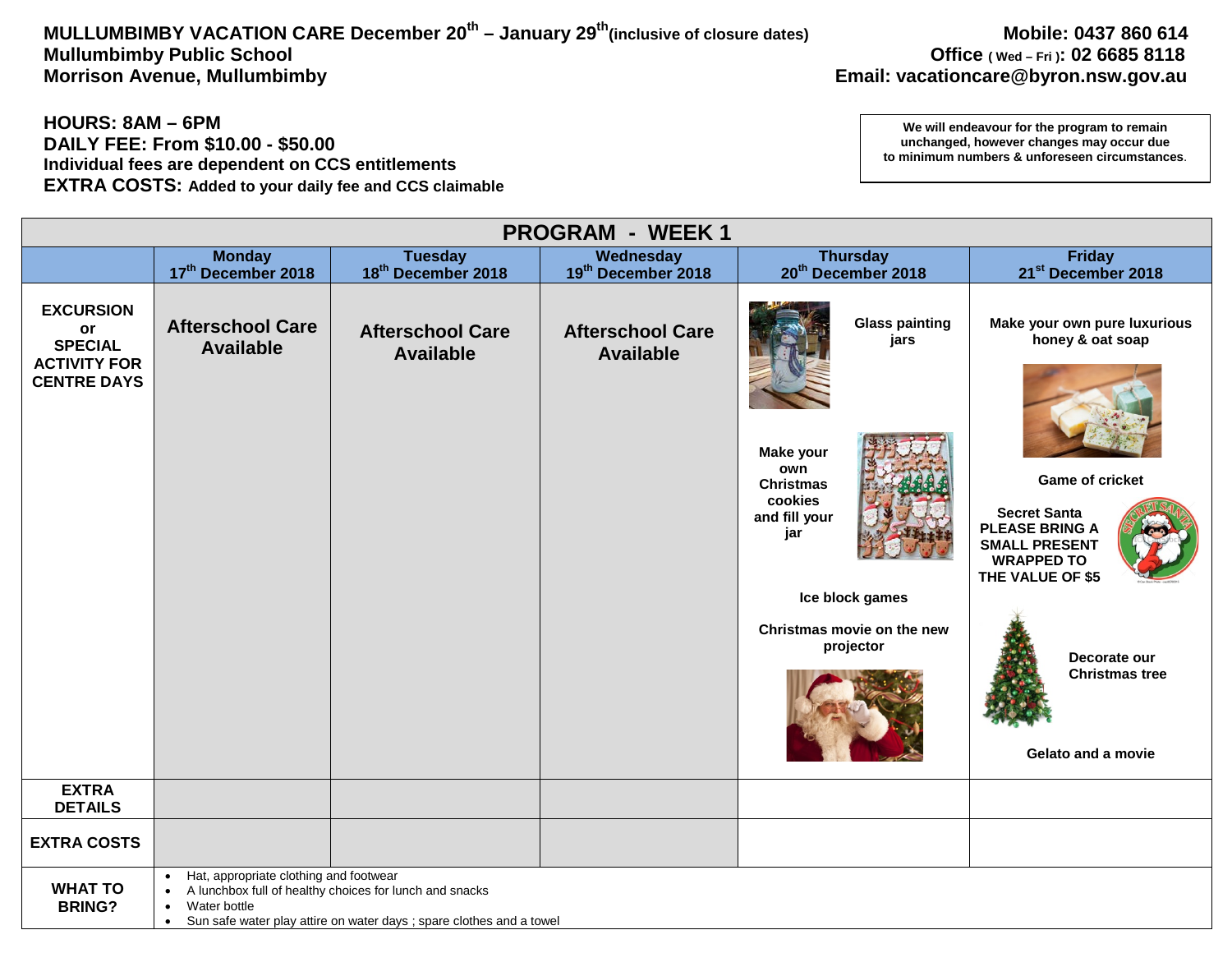# MULLUMBIMBY VACATION CARE December 20<sup>th</sup> – January 29<sup>th</sup>(inclusive of closure dates) Mobile: 0437 860 614<br>Office (wed – Fri): 02 6685 8118 Mullumbimby Public School **Mullumbimby Public School Office** (Wed – Fri): 02 6685 8118<br>Morrison Avenue, Mullumbimby **Department of the Control of Control** Changes and **Control Changes** Email: vacationcare @byron.nsw.gov.

## **HOURS: 8AM – 6PM DAILY FEE: From \$10.00 - \$50.00 Individual fees are dependent on CCS entitlements EXTRA COSTS: Added to your daily fee and CCS claimable**

| <b>PROGRAM - WEEK1</b>                                                                |                                                                                                                                                                                                                                  |                                             |                                             |                                                                                                          |                                                                                                                                                                         |  |
|---------------------------------------------------------------------------------------|----------------------------------------------------------------------------------------------------------------------------------------------------------------------------------------------------------------------------------|---------------------------------------------|---------------------------------------------|----------------------------------------------------------------------------------------------------------|-------------------------------------------------------------------------------------------------------------------------------------------------------------------------|--|
|                                                                                       | <b>Monday</b>                                                                                                                                                                                                                    | <b>Tuesday</b>                              | Wednesday                                   | <b>Thursday</b>                                                                                          | <b>Friday</b>                                                                                                                                                           |  |
|                                                                                       | 17th December 2018                                                                                                                                                                                                               | 18 <sup>th</sup> December 2018              | 19th December 2018                          | 20 <sup>th</sup> December 2018                                                                           | 21 <sup>st</sup> December 2018                                                                                                                                          |  |
| <b>EXCURSION</b><br>or<br><b>SPECIAL</b><br><b>ACTIVITY FOR</b><br><b>CENTRE DAYS</b> | <b>Afterschool Care</b><br><b>Available</b>                                                                                                                                                                                      | <b>Afterschool Care</b><br><b>Available</b> | <b>Afterschool Care</b><br><b>Available</b> | <b>Glass painting</b><br>jars<br>Make your<br>own<br><b>Christmas</b><br>cookies<br>and fill your<br>jar | Make your own pure luxurious<br>honey & oat soap<br><b>Game of cricket</b><br><b>Secret Santa</b><br><b>PLEASE BRING A</b><br><b>SMALL PRESENT</b><br><b>WRAPPED TO</b> |  |
|                                                                                       |                                                                                                                                                                                                                                  |                                             |                                             | Ice block games<br>Christmas movie on the new<br>projector                                               | THE VALUE OF \$5<br>Decorate our<br><b>Christmas tree</b><br>Gelato and a movie                                                                                         |  |
| <b>EXTRA</b><br><b>DETAILS</b>                                                        |                                                                                                                                                                                                                                  |                                             |                                             |                                                                                                          |                                                                                                                                                                         |  |
| <b>EXTRA COSTS</b>                                                                    |                                                                                                                                                                                                                                  |                                             |                                             |                                                                                                          |                                                                                                                                                                         |  |
| <b>WHAT TO</b><br><b>BRING?</b>                                                       | Hat, appropriate clothing and footwear<br>$\bullet$<br>A lunchbox full of healthy choices for lunch and snacks<br>$\bullet$<br>Water bottle<br>Sun safe water play attire on water days ; spare clothes and a towel<br>$\bullet$ |                                             |                                             |                                                                                                          |                                                                                                                                                                         |  |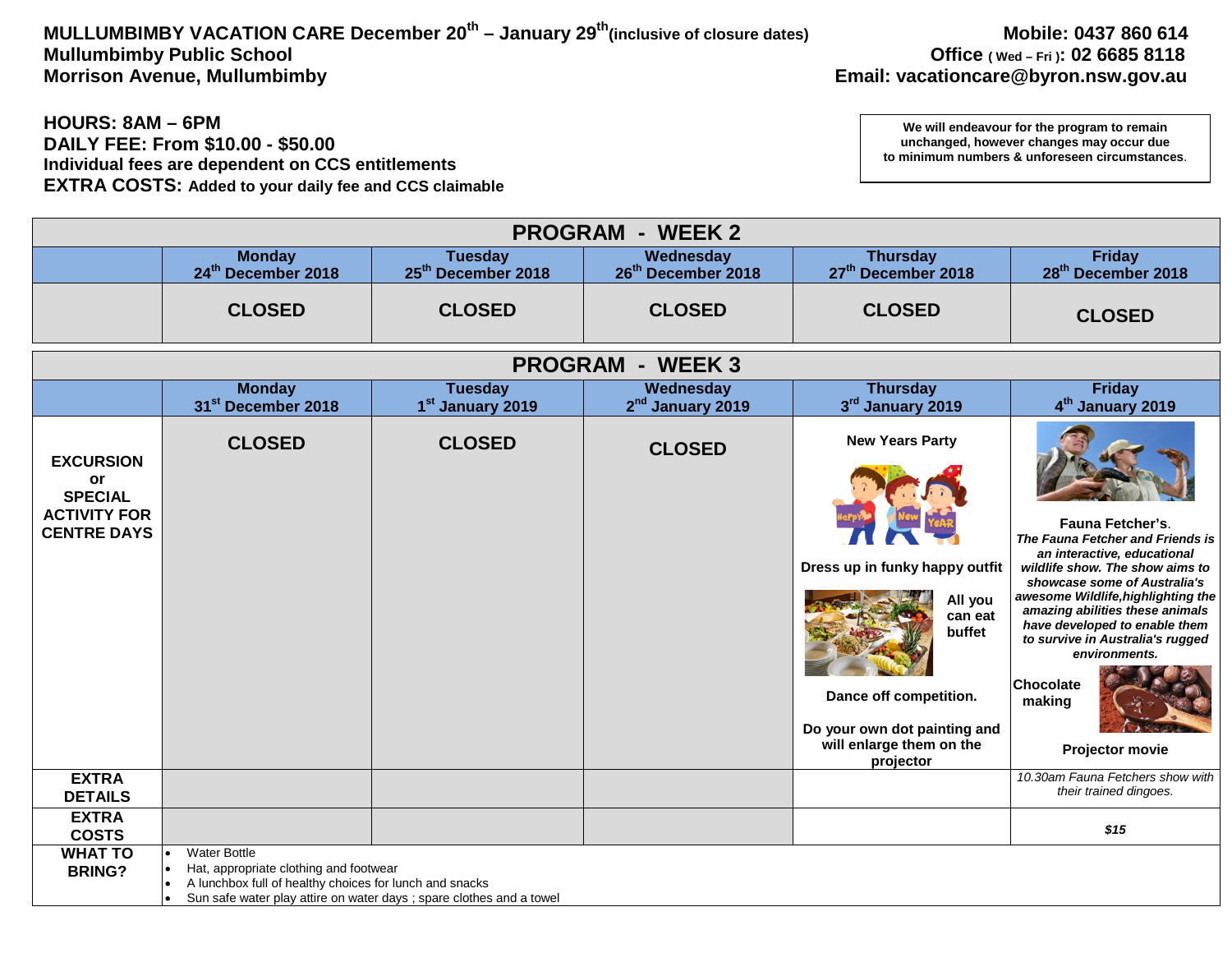# MULLUMBIMBY VACATION CARE December 20<sup>th</sup> – January 29<sup>th</sup>(inclusive of closure dates) Mobile: 0437 860 614<br>Office (wed – Fri): 02 6685 8118 Mullumbimby Public School **Mullumbimby Public School**<br>Morrison Avenue, Mullumbimby **Department of the Control of Control** Chrison Avenue, Mullumbimby **Morrison Avenue, Mullumbimby**

## **HOURS: 8AM – 6PM DAILY FEE: From \$10.00 - \$50.00 Individual fees are dependent on CCS entitlements EXTRA COSTS: Added to your daily fee and CCS claimable**

|                                                                                       |                                                                                                                                                                                                                                  |                                                  | <b>PROGRAM - WEEK 2</b>                     |                                                                                                                                                                                             |                                                                                                                                                                                                                                                                                                                                                                               |
|---------------------------------------------------------------------------------------|----------------------------------------------------------------------------------------------------------------------------------------------------------------------------------------------------------------------------------|--------------------------------------------------|---------------------------------------------|---------------------------------------------------------------------------------------------------------------------------------------------------------------------------------------------|-------------------------------------------------------------------------------------------------------------------------------------------------------------------------------------------------------------------------------------------------------------------------------------------------------------------------------------------------------------------------------|
|                                                                                       | <b>Monday</b><br>24 <sup>th</sup> December 2018                                                                                                                                                                                  | <b>Tuesday</b><br>25 <sup>th</sup> December 2018 | Wednesday<br>26 <sup>th</sup> December 2018 | <b>Thursday</b><br>27 <sup>th</sup> December 2018                                                                                                                                           | <b>Friday</b><br>28 <sup>th</sup> December 2018                                                                                                                                                                                                                                                                                                                               |
|                                                                                       | <b>CLOSED</b>                                                                                                                                                                                                                    | <b>CLOSED</b>                                    | <b>CLOSED</b>                               | <b>CLOSED</b>                                                                                                                                                                               | <b>CLOSED</b>                                                                                                                                                                                                                                                                                                                                                                 |
|                                                                                       |                                                                                                                                                                                                                                  | <b>PROGRAM</b>                                   | - WEEK 3                                    |                                                                                                                                                                                             |                                                                                                                                                                                                                                                                                                                                                                               |
|                                                                                       | <b>Monday</b><br>31st December 2018                                                                                                                                                                                              | <b>Tuesday</b><br>1 <sup>st</sup> January 2019   | Wednesday<br>2 <sup>nd</sup> January 2019   | <b>Thursday</b><br>3rd January 2019                                                                                                                                                         | <b>Friday</b><br>4 <sup>th</sup> January 2019                                                                                                                                                                                                                                                                                                                                 |
| <b>EXCURSION</b><br>or<br><b>SPECIAL</b><br><b>ACTIVITY FOR</b><br><b>CENTRE DAYS</b> | <b>CLOSED</b>                                                                                                                                                                                                                    | <b>CLOSED</b>                                    | <b>CLOSED</b>                               | <b>New Years Party</b><br>Dress up in funky happy outfit<br>All you<br>can eat<br>buffet<br>Dance off competition.<br>Do your own dot painting and<br>will enlarge them on the<br>projector | <b>Fauna Fetcher's.</b><br>The Fauna Fetcher and Friends is<br>an interactive, educational<br>wildlife show. The show aims to<br>showcase some of Australia's<br>awesome Wildlife, highlighting the<br>amazing abilities these animals<br>have developed to enable them<br>to survive in Australia's rugged<br>environments.<br><b>Chocolate</b><br>making<br>Projector movie |
| <b>EXTRA</b><br><b>DETAILS</b>                                                        |                                                                                                                                                                                                                                  |                                                  |                                             |                                                                                                                                                                                             | 10.30am Fauna Fetchers show with<br>their trained dingoes.                                                                                                                                                                                                                                                                                                                    |
| <b>EXTRA</b><br><b>COSTS</b>                                                          |                                                                                                                                                                                                                                  |                                                  |                                             |                                                                                                                                                                                             | \$15                                                                                                                                                                                                                                                                                                                                                                          |
| <b>WHAT TO</b><br><b>BRING?</b>                                                       | Water Bottle<br>$\bullet$<br>Hat, appropriate clothing and footwear<br>$\bullet$<br>A lunchbox full of healthy choices for lunch and snacks<br>$\bullet$<br>Sun safe water play attire on water days ; spare clothes and a towel |                                                  |                                             |                                                                                                                                                                                             |                                                                                                                                                                                                                                                                                                                                                                               |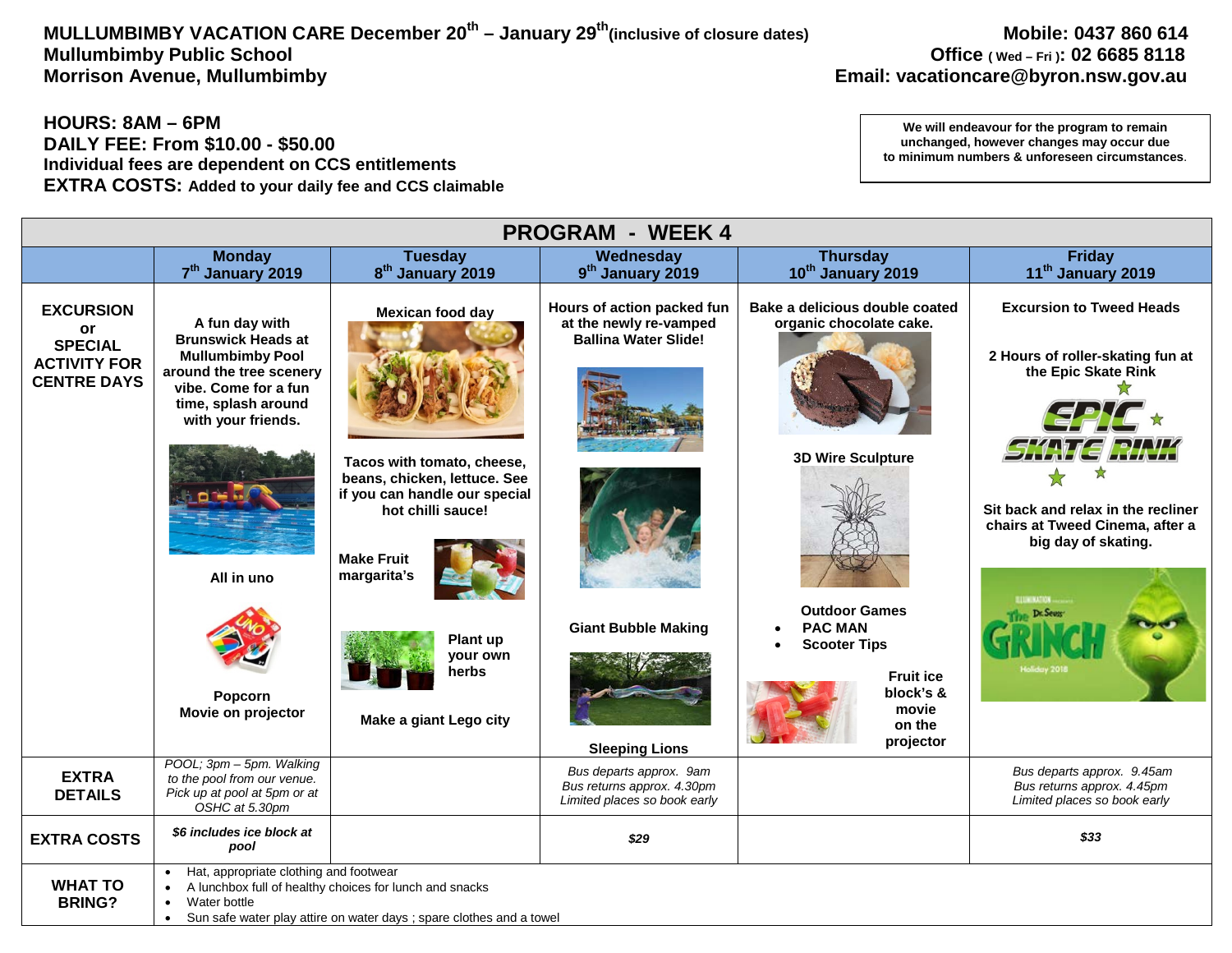# MULLUMBIMBY VACATION CARE December 20<sup>th</sup> – January 29<sup>th</sup>(inclusive of closure dates) Mobile: 0437 860 614<br>Office (wed – Fri): 02 6685 8118 Mullumbimby Public School **Mullumbimby Public School Office** (Wed – Fri): 02 6685 8118<br>Morrison Avenue, Mullumbimby **Mullumbimby Channel Constant Constant Constant Constant Constant Constant Consu**

# **Email: vacationcare@byron.nsw.gov.au**

## **HOURS: 8AM – 6PM DAILY FEE: From \$10.00 - \$50.00 Individual fees are dependent on CCS entitlements EXTRA COSTS: Added to your daily fee and CCS claimable**

| <b>PROGRAM - WEEK 4</b>                                                               |                                                                                                                                                                                                                       |                                                                                                                                                                                                                                            |                                                                                                                                            |                                                                                                                                                                                                                         |                                                                                                                                                                                                        |  |
|---------------------------------------------------------------------------------------|-----------------------------------------------------------------------------------------------------------------------------------------------------------------------------------------------------------------------|--------------------------------------------------------------------------------------------------------------------------------------------------------------------------------------------------------------------------------------------|--------------------------------------------------------------------------------------------------------------------------------------------|-------------------------------------------------------------------------------------------------------------------------------------------------------------------------------------------------------------------------|--------------------------------------------------------------------------------------------------------------------------------------------------------------------------------------------------------|--|
|                                                                                       | <b>Monday</b>                                                                                                                                                                                                         | <b>Tuesday</b>                                                                                                                                                                                                                             | Wednesday                                                                                                                                  | <b>Thursday</b>                                                                                                                                                                                                         | <b>Friday</b>                                                                                                                                                                                          |  |
|                                                                                       | 7 <sup>th</sup> January 2019                                                                                                                                                                                          | 8 <sup>th</sup> January 2019                                                                                                                                                                                                               | 9 <sup>th</sup> January 2019                                                                                                               | 10 <sup>th</sup> January 2019                                                                                                                                                                                           | 11 <sup>th</sup> January 2019                                                                                                                                                                          |  |
| <b>EXCURSION</b><br>or<br><b>SPECIAL</b><br><b>ACTIVITY FOR</b><br><b>CENTRE DAYS</b> | A fun day with<br><b>Brunswick Heads at</b><br><b>Mullumbimby Pool</b><br>around the tree scenery<br>vibe. Come for a fun<br>time, splash around<br>with your friends.<br>All in uno<br>Popcorn<br>Movie on projector | <b>Mexican food day</b><br>Tacos with tomato, cheese,<br>beans, chicken, lettuce. See<br>if you can handle our special<br>hot chilli sauce!<br><b>Make Fruit</b><br>margarita's<br>Plant up<br>your own<br>herbs<br>Make a giant Lego city | Hours of action packed fun<br>at the newly re-vamped<br><b>Ballina Water Slide!</b><br><b>Giant Bubble Making</b><br><b>Sleeping Lions</b> | Bake a delicious double coated<br>organic chocolate cake.<br><b>3D Wire Sculpture</b><br><b>Outdoor Games</b><br><b>PAC MAN</b><br><b>Scooter Tips</b><br><b>Fruit ice</b><br>block's &<br>movie<br>on the<br>projector | <b>Excursion to Tweed Heads</b><br>2 Hours of roller-skating fun at<br>the Epic Skate Rink<br>Sit back and relax in the recliner<br>chairs at Tweed Cinema, after a<br>big day of skating.<br>Dr. Seum |  |
| <b>EXTRA</b><br><b>DETAILS</b>                                                        | POOL; 3pm - 5pm. Walking<br>to the pool from our venue.<br>Pick up at pool at 5pm or at<br>OSHC at 5.30pm                                                                                                             |                                                                                                                                                                                                                                            | Bus departs approx. 9am<br>Bus returns approx. 4.30pm<br>Limited places so book early                                                      |                                                                                                                                                                                                                         | Bus departs approx. 9.45am<br>Bus returns approx. 4.45pm<br>Limited places so book early                                                                                                               |  |
| <b>EXTRA COSTS</b>                                                                    | \$6 includes ice block at<br>pool                                                                                                                                                                                     |                                                                                                                                                                                                                                            | \$29                                                                                                                                       |                                                                                                                                                                                                                         | \$33                                                                                                                                                                                                   |  |
| <b>WHAT TO</b><br><b>BRING?</b>                                                       | Hat, appropriate clothing and footwear<br>$\bullet$<br>A lunchbox full of healthy choices for lunch and snacks<br>Water bottle<br>Sun safe water play attire on water days; spare clothes and a towel<br>$\bullet$    |                                                                                                                                                                                                                                            |                                                                                                                                            |                                                                                                                                                                                                                         |                                                                                                                                                                                                        |  |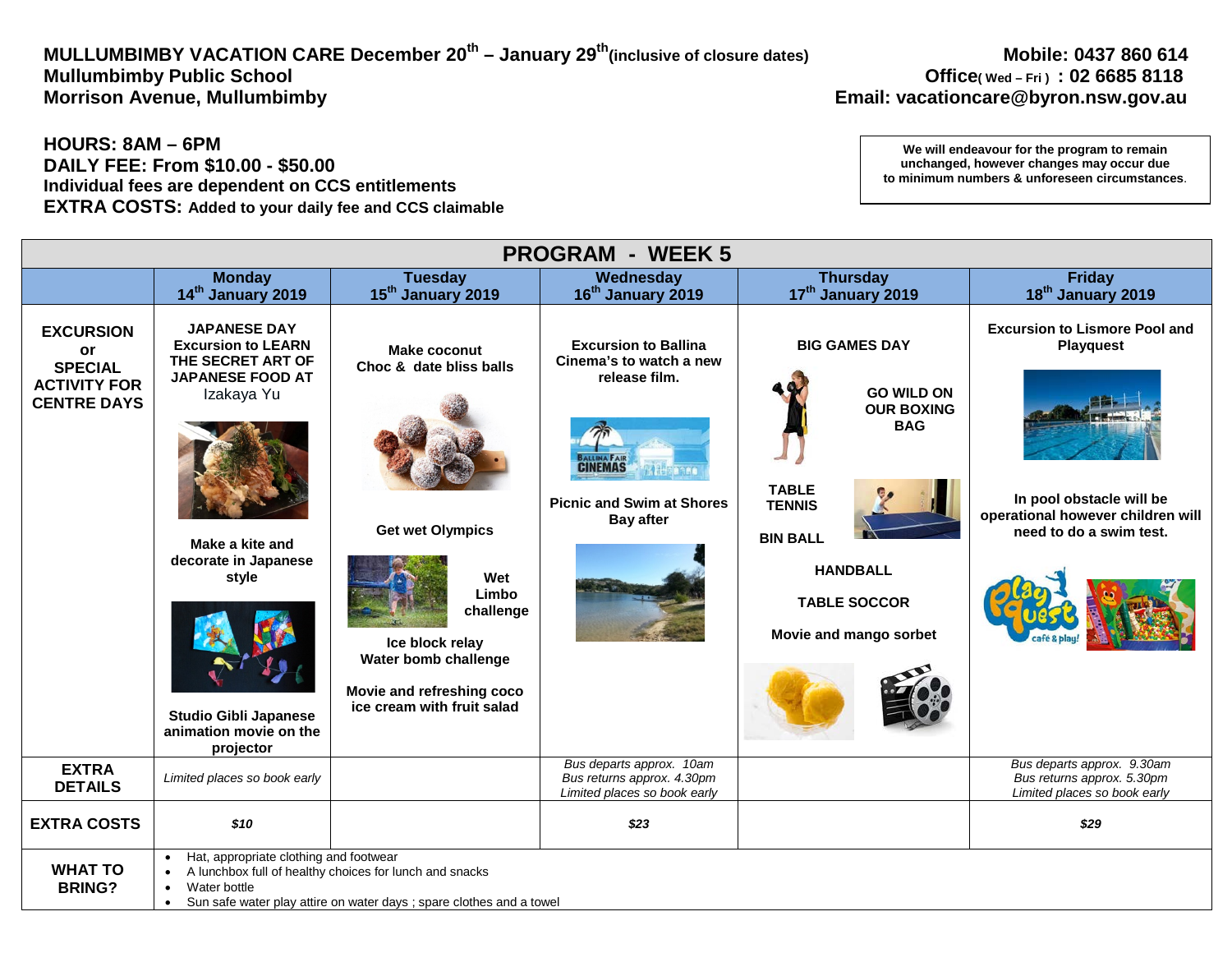# MULLUMBIMBY VACATION CARE December 20<sup>th</sup> – January 29<sup>th</sup>(inclusive of closure dates) Mobile: 0437 860 614<br>18 Office(wed – Fri) : 02 6685 8118 Mullumbimby Public School **Mullumbimby Public School**<br>Morrison Avenue, Mullumbimby **Discussed and Science 2019 Controller in the Controller of the Controller School**

# **Email: vacationcare@byron.nsw.gov.au**

## **HOURS: 8AM – 6PM DAILY FEE: From \$10.00 - \$50.00 Individual fees are dependent on CCS entitlements EXTRA COSTS: Added to your daily fee and CCS claimable**

| <b>PROGRAM - WEEK 5</b>                                                               |                                                                                                                                                                                                                                           |                                                                                                                                                                                                              |                                                                                                                                                   |                                                                                                                                                                                                      |                                                                                                                                                      |  |
|---------------------------------------------------------------------------------------|-------------------------------------------------------------------------------------------------------------------------------------------------------------------------------------------------------------------------------------------|--------------------------------------------------------------------------------------------------------------------------------------------------------------------------------------------------------------|---------------------------------------------------------------------------------------------------------------------------------------------------|------------------------------------------------------------------------------------------------------------------------------------------------------------------------------------------------------|------------------------------------------------------------------------------------------------------------------------------------------------------|--|
|                                                                                       | <b>Monday</b>                                                                                                                                                                                                                             | <b>Tuesday</b>                                                                                                                                                                                               | Wednesday                                                                                                                                         | <b>Thursday</b>                                                                                                                                                                                      | <b>Friday</b>                                                                                                                                        |  |
|                                                                                       | 14 <sup>th</sup> January 2019                                                                                                                                                                                                             | 15 <sup>th</sup> January 2019                                                                                                                                                                                | 16 <sup>th</sup> January 2019                                                                                                                     | 17 <sup>th</sup> January 2019                                                                                                                                                                        | 18 <sup>th</sup> January 2019                                                                                                                        |  |
| <b>EXCURSION</b><br>or<br><b>SPECIAL</b><br><b>ACTIVITY FOR</b><br><b>CENTRE DAYS</b> | <b>JAPANESE DAY</b><br><b>Excursion to LEARN</b><br>THE SECRET ART OF<br><b>JAPANESE FOOD AT</b><br>Izakaya Yu<br>Make a kite and<br>decorate in Japanese<br>style<br><b>Studio Gibli Japanese</b><br>animation movie on the<br>projector | <b>Make coconut</b><br>Choc & date bliss balls<br><b>Get wet Olympics</b><br>Wet<br>Limbo<br>challenge<br>Ice block relay<br>Water bomb challenge<br>Movie and refreshing coco<br>ice cream with fruit salad | <b>Excursion to Ballina</b><br>Cinema's to watch a new<br>release film.<br><b>CINEMAS</b><br><b>Picnic and Swim at Shores</b><br><b>Bay after</b> | <b>BIG GAMES DAY</b><br><b>GO WILD ON</b><br><b>OUR BOXING</b><br><b>BAG</b><br><b>TABLE</b><br><b>TENNIS</b><br><b>BIN BALL</b><br><b>HANDBALL</b><br><b>TABLE SOCCOR</b><br>Movie and mango sorbet | <b>Excursion to Lismore Pool and</b><br><b>Playquest</b><br>In pool obstacle will be<br>operational however children will<br>need to do a swim test. |  |
| <b>EXTRA</b><br><b>DETAILS</b>                                                        | Limited places so book early                                                                                                                                                                                                              |                                                                                                                                                                                                              | Bus departs approx. 10am<br>Bus returns approx. 4.30pm<br>Limited places so book early                                                            |                                                                                                                                                                                                      | Bus departs approx. 9.30am<br>Bus returns approx. 5.30pm<br>Limited places so book early                                                             |  |
| <b>EXTRA COSTS</b>                                                                    | \$10                                                                                                                                                                                                                                      |                                                                                                                                                                                                              | \$23                                                                                                                                              |                                                                                                                                                                                                      | \$29                                                                                                                                                 |  |
| <b>WHAT TO</b><br><b>BRING?</b>                                                       | Hat, appropriate clothing and footwear<br>Water bottle<br>$\bullet$<br>$\bullet$                                                                                                                                                          | A lunchbox full of healthy choices for lunch and snacks<br>Sun safe water play attire on water days ; spare clothes and a towel                                                                              |                                                                                                                                                   |                                                                                                                                                                                                      |                                                                                                                                                      |  |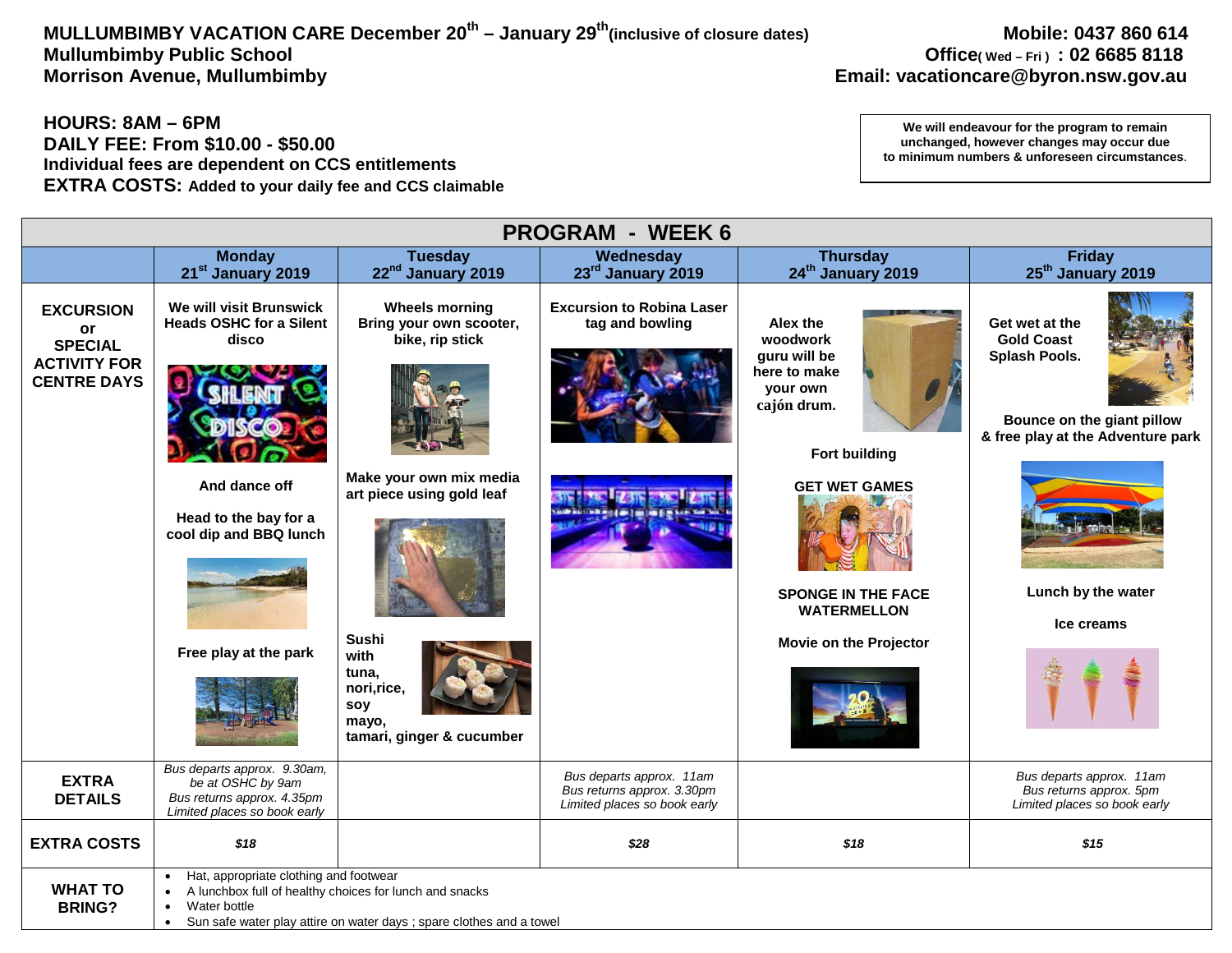# MULLUMBIMBY VACATION CARE December 20<sup>th</sup> – January 29<sup>th</sup>(inclusive of closure dates) Mobile: 0437 860 614<br>Office(wed – Fri) : 02 6685 8118 Mullumbimby Public School **Mullumbimby Public School**<br>Morrison Avenue, Mullumbimby **Department Concernsive Concernsive Concernsive Concernsive Concernsive Concernsiv**<br>Email: vacationcare@byron.nsw.gov.au

## **HOURS: 8AM – 6PM DAILY FEE: From \$10.00 - \$50.00 Individual fees are dependent on CCS entitlements EXTRA COSTS: Added to your daily fee and CCS claimable**

| <b>PROGRAM - WEEK 6</b>                                                               |                                                                                                                                                                 |                                                                                                                                                                                                                   |                                                                                        |                                                                                                                                                                                                              |                                                                                                                                                             |  |
|---------------------------------------------------------------------------------------|-----------------------------------------------------------------------------------------------------------------------------------------------------------------|-------------------------------------------------------------------------------------------------------------------------------------------------------------------------------------------------------------------|----------------------------------------------------------------------------------------|--------------------------------------------------------------------------------------------------------------------------------------------------------------------------------------------------------------|-------------------------------------------------------------------------------------------------------------------------------------------------------------|--|
|                                                                                       | <b>Monday</b><br>21 <sup>st</sup> January 2019                                                                                                                  | <b>Tuesday</b><br>22 <sup>nd</sup> January 2019                                                                                                                                                                   | Wednesday<br>23rd January 2019                                                         | <b>Thursday</b><br>24 <sup>th</sup> January 2019                                                                                                                                                             | Friday<br>25 <sup>th</sup> January 2019                                                                                                                     |  |
| <b>EXCURSION</b><br>or<br><b>SPECIAL</b><br><b>ACTIVITY FOR</b><br><b>CENTRE DAYS</b> | We will visit Brunswick<br><b>Heads OSHC for a Silent</b><br>disco<br>And dance off<br>Head to the bay for a<br>cool dip and BBQ lunch<br>Free play at the park | <b>Wheels morning</b><br>Bring your own scooter,<br>bike, rip stick<br>Make your own mix media<br>art piece using gold leaf<br>Sushi<br>with<br>tuna,<br>nori, rice,<br>soy<br>mayo,<br>tamari, ginger & cucumber | <b>Excursion to Robina Laser</b><br>tag and bowling                                    | Alex the<br>woodwork<br>guru will be<br>here to make<br>your own<br>cajón drum.<br><b>Fort building</b><br><b>GET WET GAMES</b><br><b>SPONGE IN THE FACE</b><br><b>WATERMELLON</b><br>Movie on the Projector | Get wet at the<br><b>Gold Coast</b><br>Splash Pools.<br>Bounce on the giant pillow<br>& free play at the Adventure park<br>Lunch by the water<br>Ice creams |  |
| <b>EXTRA</b><br><b>DETAILS</b>                                                        | Bus departs approx. 9.30am,<br>be at OSHC by 9am<br>Bus returns approx. 4.35pm<br>Limited places so book early                                                  |                                                                                                                                                                                                                   | Bus departs approx. 11am<br>Bus returns approx. 3.30pm<br>Limited places so book early |                                                                                                                                                                                                              | Bus departs approx. 11am<br>Bus returns approx. 5pm<br>Limited places so book early                                                                         |  |
| <b>EXTRA COSTS</b>                                                                    | \$18                                                                                                                                                            |                                                                                                                                                                                                                   | \$28                                                                                   | \$18                                                                                                                                                                                                         | \$15                                                                                                                                                        |  |
| <b>WHAT TO</b><br><b>BRING?</b>                                                       | Hat, appropriate clothing and footwear<br>Water bottle<br>$\bullet$<br>$\bullet$                                                                                | A lunchbox full of healthy choices for lunch and snacks<br>Sun safe water play attire on water days ; spare clothes and a towel                                                                                   |                                                                                        |                                                                                                                                                                                                              |                                                                                                                                                             |  |